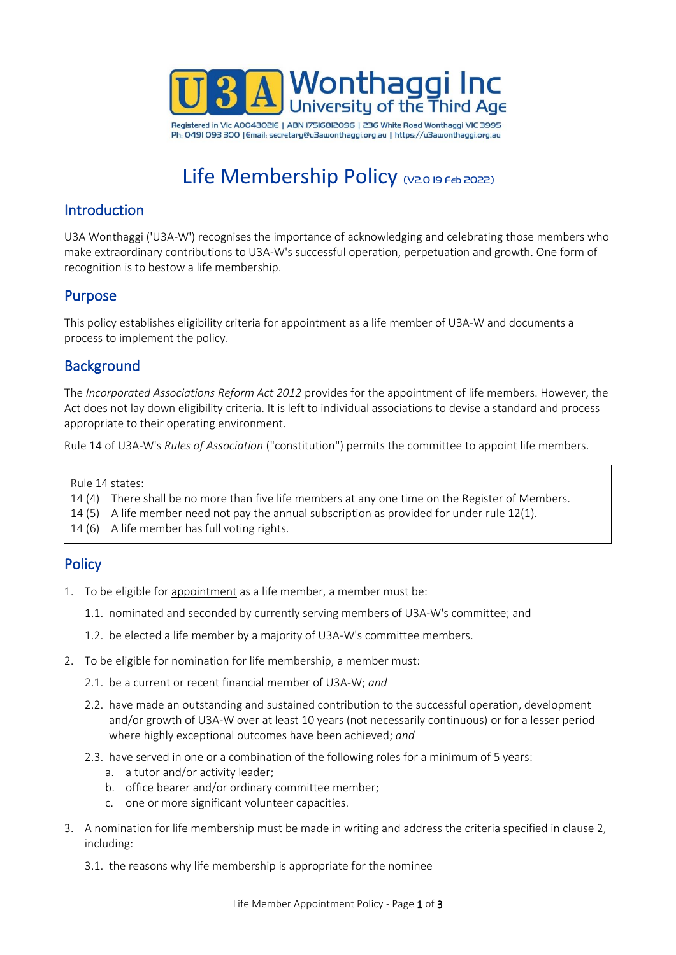

Registered in Vic A004302IE | ABN 17516812096 | 236 White Road Wonthaggi VIC 3995 Ph: 0491 093 300 | Email: secretary@u3awonthaggi.org.au | https://u3awonthaggi.org.au

# Life Membership Policy (V2.0 I9 FED 2022)

## Introduction

U3A Wonthaggi ('U3A-W') recognises the importance of acknowledging and celebrating those members who make extraordinary contributions to U3A-W's successful operation, perpetuation and growth. One form of recognition is to bestow a life membership.

## **Purpose**

This policy establishes eligibility criteria for appointment as a life member of U3A-W and documents a process to implement the policy.

# **Background**

The *Incorporated Associations Reform Act 2012* provides for the appointment of life members. However, the Act does not lay down eligibility criteria. It is left to individual associations to devise a standard and process appropriate to their operating environment.

Rule 14 of U3A-W's *Rules of Association* ("constitution") permits the committee to appoint life members.

Rule 14 states:

- 14 (4) There shall be no more than five life members at any one time on the Register of Members.
- 14 (5) A life member need not pay the annual subscription as provided for under rule 12(1).
- 14 (6) A life member has full voting rights.

## **Policy**

- 1. To be eligible for appointment as a life member, a member must be:
	- 1.1. nominated and seconded by currently serving members of U3A-W's committee; and
	- 1.2. be elected a life member by a majority of U3A-W's committee members.
- 2. To be eligible for nomination for life membership, a member must:
	- 2.1. be a current or recent financial member of U3A-W; *and*
	- 2.2. have made an outstanding and sustained contribution to the successful operation, development and/or growth of U3A-W over at least 10 years (not necessarily continuous) or for a lesser period where highly exceptional outcomes have been achieved; *and*
	- 2.3. have served in one or a combination of the following roles for a minimum of 5 years:
		- a. a tutor and/or activity leader;
		- b. office bearer and/or ordinary committee member;
		- c. one or more significant volunteer capacities.
- 3. A nomination for life membership must be made in writing and address the criteria specified in clause 2, including:
	- 3.1. the reasons why life membership is appropriate for the nominee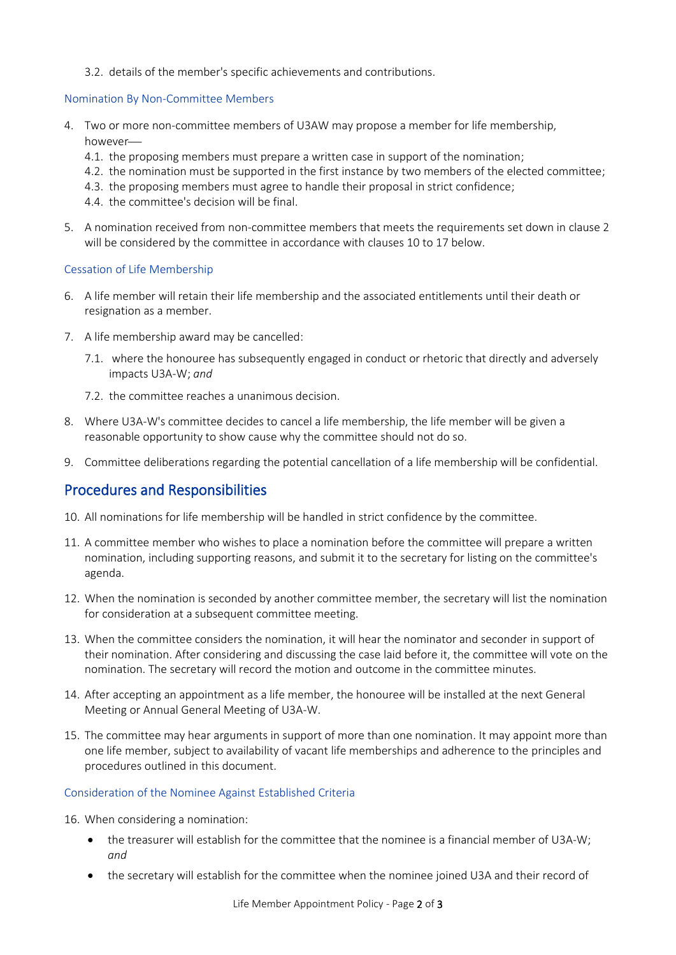3.2. details of the member's specific achievements and contributions.

#### Nomination By Non-Committee Members

- 4. Two or more non-committee members of U3AW may propose a member for life membership, however-
	- 4.1. the proposing members must prepare a written case in support of the nomination;
	- 4.2. the nomination must be supported in the first instance by two members of the elected committee;
	- 4.3. the proposing members must agree to handle their proposal in strict confidence;
	- 4.4. the committee's decision will be final.
- 5. A nomination received from non-committee members that meets the requirements set down in clause 2 will be considered by the committee in accordance with clauses 10 to 17 below.

#### Cessation of Life Membership

- 6. A life member will retain their life membership and the associated entitlements until their death or resignation as a member.
- 7. A life membership award may be cancelled:
	- 7.1. where the honouree has subsequently engaged in conduct or rhetoric that directly and adversely impacts U3A-W; *and*
	- 7.2. the committee reaches a unanimous decision.
- 8. Where U3A-W's committee decides to cancel a life membership, the life member will be given a reasonable opportunity to show cause why the committee should not do so.
- 9. Committee deliberations regarding the potential cancellation of a life membership will be confidential.

## Procedures and Responsibilities

- 10. All nominations for life membership will be handled in strict confidence by the committee.
- 11. A committee member who wishes to place a nomination before the committee will prepare a written nomination, including supporting reasons, and submit it to the secretary for listing on the committee's agenda.
- 12. When the nomination is seconded by another committee member, the secretary will list the nomination for consideration at a subsequent committee meeting.
- 13. When the committee considers the nomination, it will hear the nominator and seconder in support of their nomination. After considering and discussing the case laid before it, the committee will vote on the nomination. The secretary will record the motion and outcome in the committee minutes.
- 14. After accepting an appointment as a life member, the honouree will be installed at the next General Meeting or Annual General Meeting of U3A-W.
- 15. The committee may hear arguments in support of more than one nomination. It may appoint more than one life member, subject to availability of vacant life memberships and adherence to the principles and procedures outlined in this document.

#### Consideration of the Nominee Against Established Criteria

16. When considering a nomination:

- the treasurer will establish for the committee that the nominee is a financial member of U3A-W; *and*
- the secretary will establish for the committee when the nominee joined U3A and their record of